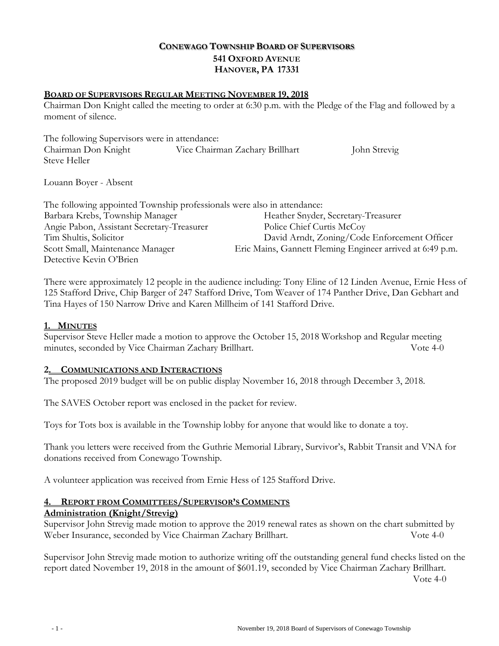# **CONEWAGO TOWNSHIP BOARD OF SUPERVISORS 541 OXFORD AVENUE HANOVER, PA 17331**

### **BOARD OF SUPERVISORS REGULAR MEETING NOVEMBER 19, 2018**

Chairman Don Knight called the meeting to order at 6:30 p.m. with the Pledge of the Flag and followed by a moment of silence.

The following Supervisors were in attendance: Chairman Don Knight Vice Chairman Zachary Brillhart John Strevig Steve Heller

Louann Boyer - Absent

| The following appointed Township professionals were also in attendance: |                                                           |
|-------------------------------------------------------------------------|-----------------------------------------------------------|
| Barbara Krebs, Township Manager                                         | Heather Snyder, Secretary-Treasurer                       |
| Angie Pabon, Assistant Secretary-Treasurer                              | Police Chief Curtis McCoy                                 |
| Tim Shultis, Solicitor                                                  | David Arndt, Zoning/Code Enforcement Officer              |
| Scott Small, Maintenance Manager                                        | Eric Mains, Gannett Fleming Engineer arrived at 6:49 p.m. |
| Detective Kevin O'Brien                                                 |                                                           |

There were approximately 12 people in the audience including: Tony Eline of 12 Linden Avenue, Ernie Hess of 125 Stafford Drive, Chip Barger of 247 Stafford Drive, Tom Weaver of 174 Panther Drive, Dan Gebhart and Tina Hayes of 150 Narrow Drive and Karen Millheim of 141 Stafford Drive.

#### **1. MINUTES**

Supervisor Steve Heller made a motion to approve the October 15, 2018 Workshop and Regular meeting minutes, seconded by Vice Chairman Zachary Brillhart. Vote 4-0

#### **2. COMMUNICATIONS AND INTERACTIONS**

The proposed 2019 budget will be on public display November 16, 2018 through December 3, 2018.

The SAVES October report was enclosed in the packet for review.

Toys for Tots box is available in the Township lobby for anyone that would like to donate a toy.

Thank you letters were received from the Guthrie Memorial Library, Survivor's, Rabbit Transit and VNA for donations received from Conewago Township.

A volunteer application was received from Ernie Hess of 125 Stafford Drive.

## **4. REPORT FROM COMMITTEES/SUPERVISOR'S COMMENTS**

#### **Administration (Knight/Strevig)**

Supervisor John Strevig made motion to approve the 2019 renewal rates as shown on the chart submitted by Weber Insurance, seconded by Vice Chairman Zachary Brillhart. Vote 4-0

Supervisor John Strevig made motion to authorize writing off the outstanding general fund checks listed on the report dated November 19, 2018 in the amount of \$601.19, seconded by Vice Chairman Zachary Brillhart. Vote 4-0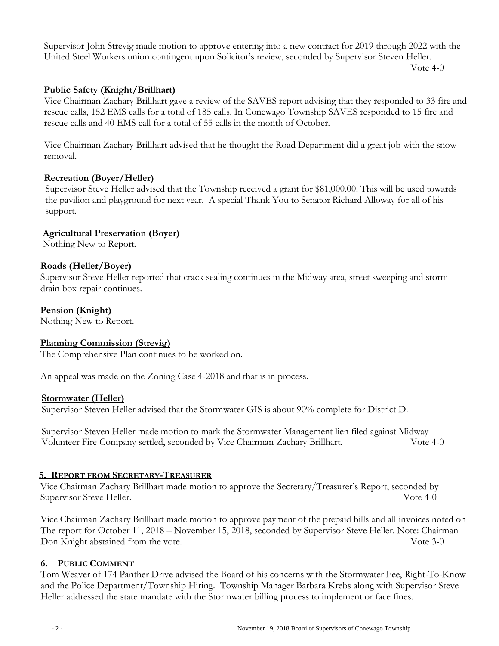Supervisor John Strevig made motion to approve entering into a new contract for 2019 through 2022 with the United Steel Workers union contingent upon Solicitor's review, seconded by Supervisor Steven Heller.

Vote 4-0

### **Public Safety (Knight/Brillhart)**

Vice Chairman Zachary Brillhart gave a review of the SAVES report advising that they responded to 33 fire and rescue calls, 152 EMS calls for a total of 185 calls. In Conewago Township SAVES responded to 15 fire and rescue calls and 40 EMS call for a total of 55 calls in the month of October.

Vice Chairman Zachary Brillhart advised that he thought the Road Department did a great job with the snow removal.

### **Recreation (Boyer/Heller)**

 Supervisor Steve Heller advised that the Township received a grant for \$81,000.00. This will be used towards the pavilion and playground for next year. A special Thank You to Senator Richard Alloway for all of his support.

### **Agricultural Preservation (Boyer)**

Nothing New to Report.

#### **Roads (Heller/Boyer)**

Supervisor Steve Heller reported that crack sealing continues in the Midway area, street sweeping and storm drain box repair continues.

#### **Pension (Knight)**

Nothing New to Report.

#### **Planning Commission (Strevig)**

The Comprehensive Plan continues to be worked on.

An appeal was made on the Zoning Case 4-2018 and that is in process.

#### **Stormwater (Heller)**

Supervisor Steven Heller advised that the Stormwater GIS is about 90% complete for District D.

 Supervisor Steven Heller made motion to mark the Stormwater Management lien filed against Midway Volunteer Fire Company settled, seconded by Vice Chairman Zachary Brillhart. Vote 4-0

#### **5. REPORT FROM SECRETARY-TREASURER**

Vice Chairman Zachary Brillhart made motion to approve the Secretary/Treasurer's Report, seconded by Supervisor Steve Heller. Vote 4-0

Vice Chairman Zachary Brillhart made motion to approve payment of the prepaid bills and all invoices noted on The report for October 11, 2018 – November 15, 2018, seconded by Supervisor Steve Heller. Note: Chairman Don Knight abstained from the vote. Vote 3-0

#### **6. PUBLIC COMMENT**

Tom Weaver of 174 Panther Drive advised the Board of his concerns with the Stormwater Fee, Right-To-Know and the Police Department/Township Hiring. Township Manager Barbara Krebs along with Supervisor Steve Heller addressed the state mandate with the Stormwater billing process to implement or face fines.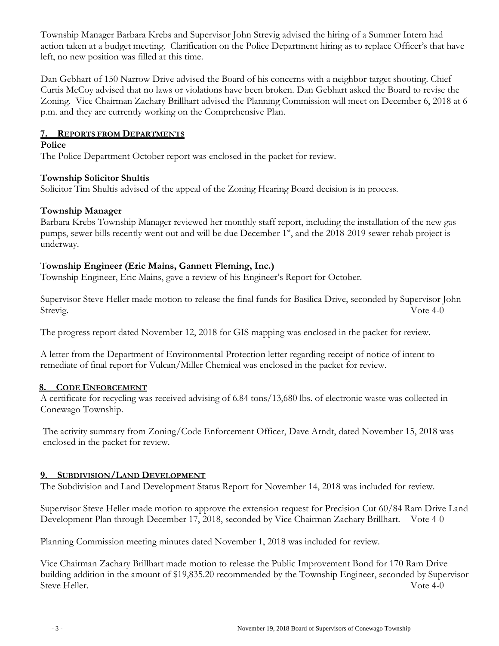Township Manager Barbara Krebs and Supervisor John Strevig advised the hiring of a Summer Intern had action taken at a budget meeting. Clarification on the Police Department hiring as to replace Officer's that have left, no new position was filled at this time.

Dan Gebhart of 150 Narrow Drive advised the Board of his concerns with a neighbor target shooting. Chief Curtis McCoy advised that no laws or violations have been broken. Dan Gebhart asked the Board to revise the Zoning. Vice Chairman Zachary Brillhart advised the Planning Commission will meet on December 6, 2018 at 6 p.m. and they are currently working on the Comprehensive Plan.

### **7. REPORTS FROM DEPARTMENTS**

#### **Police**

The Police Department October report was enclosed in the packet for review.

### **Township Solicitor Shultis**

Solicitor Tim Shultis advised of the appeal of the Zoning Hearing Board decision is in process.

### **Township Manager**

Barbara Krebs Township Manager reviewed her monthly staff report, including the installation of the new gas pumps, sewer bills recently went out and will be due December 1<sup>st</sup>, and the 2018-2019 sewer rehab project is underway.

### T**ownship Engineer (Eric Mains, Gannett Fleming, Inc.)**

Township Engineer, Eric Mains, gave a review of his Engineer's Report for October.

Supervisor Steve Heller made motion to release the final funds for Basilica Drive, seconded by Supervisor John Strevig. Vote 4-0

The progress report dated November 12, 2018 for GIS mapping was enclosed in the packet for review.

A letter from the Department of Environmental Protection letter regarding receipt of notice of intent to remediate of final report for Vulcan/Miller Chemical was enclosed in the packet for review.

#### **8. CODE ENFORCEMENT**

A certificate for recycling was received advising of 6.84 tons/13,680 lbs. of electronic waste was collected in Conewago Township.

The activity summary from Zoning/Code Enforcement Officer, Dave Arndt, dated November 15, 2018 was enclosed in the packet for review.

## **9. SUBDIVISION/LAND DEVELOPMENT**

The Subdivision and Land Development Status Report for November 14, 2018 was included for review.

Supervisor Steve Heller made motion to approve the extension request for Precision Cut 60/84 Ram Drive Land Development Plan through December 17, 2018, seconded by Vice Chairman Zachary Brillhart. Vote 4-0

Planning Commission meeting minutes dated November 1, 2018 was included for review.

Vice Chairman Zachary Brillhart made motion to release the Public Improvement Bond for 170 Ram Drive building addition in the amount of \$19,835.20 recommended by the Township Engineer, seconded by Supervisor Steve Heller. Vote 4-0